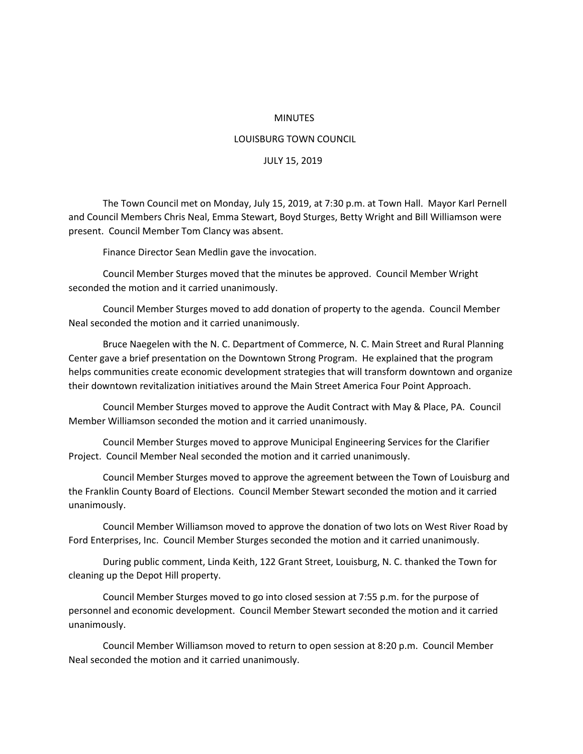## MINUTES

## LOUISBURG TOWN COUNCIL

## JULY 15, 2019

The Town Council met on Monday, July 15, 2019, at 7:30 p.m. at Town Hall. Mayor Karl Pernell and Council Members Chris Neal, Emma Stewart, Boyd Sturges, Betty Wright and Bill Williamson were present. Council Member Tom Clancy was absent.

Finance Director Sean Medlin gave the invocation.

Council Member Sturges moved that the minutes be approved. Council Member Wright seconded the motion and it carried unanimously.

Council Member Sturges moved to add donation of property to the agenda. Council Member Neal seconded the motion and it carried unanimously.

Bruce Naegelen with the N. C. Department of Commerce, N. C. Main Street and Rural Planning Center gave a brief presentation on the Downtown Strong Program. He explained that the program helps communities create economic development strategies that will transform downtown and organize their downtown revitalization initiatives around the Main Street America Four Point Approach.

Council Member Sturges moved to approve the Audit Contract with May & Place, PA. Council Member Williamson seconded the motion and it carried unanimously.

Council Member Sturges moved to approve Municipal Engineering Services for the Clarifier Project. Council Member Neal seconded the motion and it carried unanimously.

Council Member Sturges moved to approve the agreement between the Town of Louisburg and the Franklin County Board of Elections. Council Member Stewart seconded the motion and it carried unanimously.

Council Member Williamson moved to approve the donation of two lots on West River Road by Ford Enterprises, Inc. Council Member Sturges seconded the motion and it carried unanimously.

During public comment, Linda Keith, 122 Grant Street, Louisburg, N. C. thanked the Town for cleaning up the Depot Hill property.

Council Member Sturges moved to go into closed session at 7:55 p.m. for the purpose of personnel and economic development. Council Member Stewart seconded the motion and it carried unanimously.

Council Member Williamson moved to return to open session at 8:20 p.m. Council Member Neal seconded the motion and it carried unanimously.